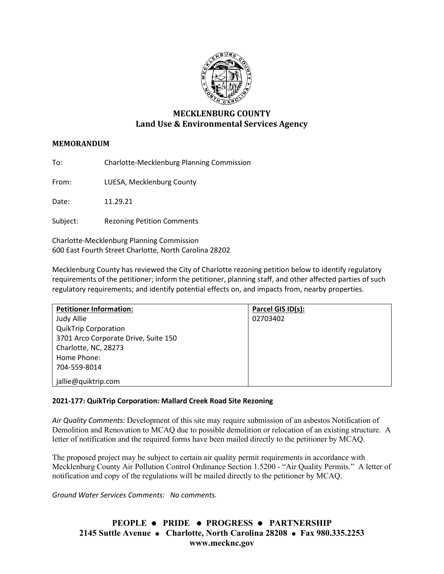

# **MECKLENBURG COUNTY Land Use & Environmental Services Agency**

### **MEMORANDUM**

To: Charlotte-Mecklenburg Planning Commission

From: LUESA, Mecklenburg County

Date: 11.29.21

Subject: Rezoning Petition Comments

Charlotte-Mecklenburg Planning Commission 600 East Fourth Street Charlotte, North Carolina 28202

Mecklenburg County has reviewed the City of Charlotte rezoning petition below to identify regulatory requirements of the petitioner; inform the petitioner, planning staff, and other affected parties of such regulatory requirements; and identify potential effects on, and impacts from, nearby properties.

| <b>Petitioner Information:</b>       | Parcel GIS ID(s): |
|--------------------------------------|-------------------|
| Judy Allie                           | 02703402          |
| <b>QuikTrip Corporation</b>          |                   |
| 3701 Arco Corporate Drive, Suite 150 |                   |
| Charlotte, NC, 28273                 |                   |
| Home Phone:                          |                   |
| 704-559-8014                         |                   |
| jallie@quiktrip.com                  |                   |

### **2021-177: QuikTrip Corporation: Mallard Creek Road Site Rezoning**

*Air Quality Comments:* Development of this site may require submission of an asbestos Notification of Demolition and Renovation to MCAQ due to possible demolition or relocation of an existing structure. A letter of notification and the required forms have been mailed directly to the petitioner by MCAQ.

The proposed project may be subject to certain air quality permit requirements in accordance with Mecklenburg County Air Pollution Control Ordinance Section 1.5200 - "Air Quality Permits." A letter of notification and copy of the regulations will be mailed directly to the petitioner by MCAQ.

*Ground Water Services Comments: No comments.*

## **PEOPLE PRIDE PROGRESS PARTNERSHIP 2145 Suttle Avenue Charlotte, North Carolina 28208 Fax 980.335.2253 www.mecknc.gov**